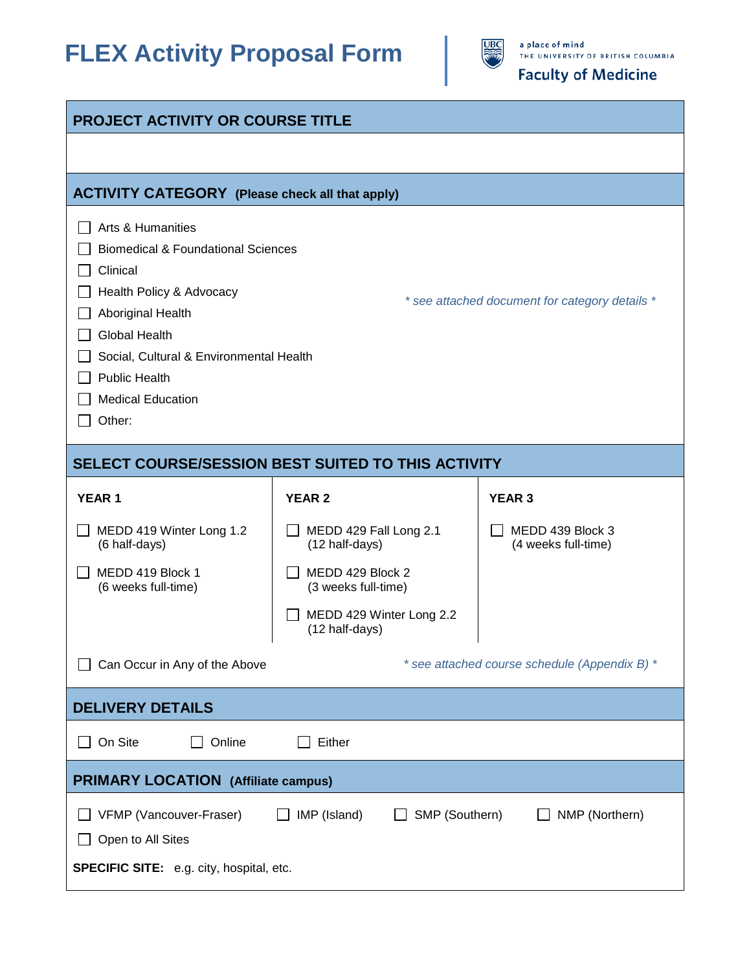# **FLEX Activity Proposal Form**



## **Faculty of Medicine**

| <b>PROJECT ACTIVITY OR COURSE TITLE</b>                                                                                                                                                                                                                                                                            |                                            |                                         |  |
|--------------------------------------------------------------------------------------------------------------------------------------------------------------------------------------------------------------------------------------------------------------------------------------------------------------------|--------------------------------------------|-----------------------------------------|--|
|                                                                                                                                                                                                                                                                                                                    |                                            |                                         |  |
| <b>ACTIVITY CATEGORY</b> (Please check all that apply)                                                                                                                                                                                                                                                             |                                            |                                         |  |
| Arts & Humanities<br><b>Biomedical &amp; Foundational Sciences</b><br>Clinical<br>Health Policy & Advocacy<br>* see attached document for category details *<br>Aboriginal Health<br><b>Global Health</b><br>Social, Cultural & Environmental Health<br><b>Public Health</b><br><b>Medical Education</b><br>Other: |                                            |                                         |  |
| SELECT COURSE/SESSION BEST SUITED TO THIS ACTIVITY                                                                                                                                                                                                                                                                 |                                            |                                         |  |
| <b>YEAR1</b>                                                                                                                                                                                                                                                                                                       | <b>YEAR 2</b>                              | <b>YEAR 3</b>                           |  |
| MEDD 419 Winter Long 1.2<br>(6 half-days)                                                                                                                                                                                                                                                                          | MEDD 429 Fall Long 2.1<br>(12 half-days)   | MEDD 439 Block 3<br>(4 weeks full-time) |  |
| MEDD 419 Block 1<br>(6 weeks full-time)                                                                                                                                                                                                                                                                            | MEDD 429 Block 2<br>(3 weeks full-time)    |                                         |  |
|                                                                                                                                                                                                                                                                                                                    | MEDD 429 Winter Long 2.2<br>(12 half-days) |                                         |  |
| * see attached course schedule (Appendix B) *<br>Can Occur in Any of the Above                                                                                                                                                                                                                                     |                                            |                                         |  |
| <b>DELIVERY DETAILS</b>                                                                                                                                                                                                                                                                                            |                                            |                                         |  |
| On Site<br>Online                                                                                                                                                                                                                                                                                                  | Either                                     |                                         |  |
| <b>PRIMARY LOCATION</b> (Affiliate campus)                                                                                                                                                                                                                                                                         |                                            |                                         |  |
| VFMP (Vancouver-Fraser)<br>IMP (Island)<br>SMP (Southern)<br>NMP (Northern)<br>Open to All Sites<br><b>SPECIFIC SITE:</b> e.g. city, hospital, etc.                                                                                                                                                                |                                            |                                         |  |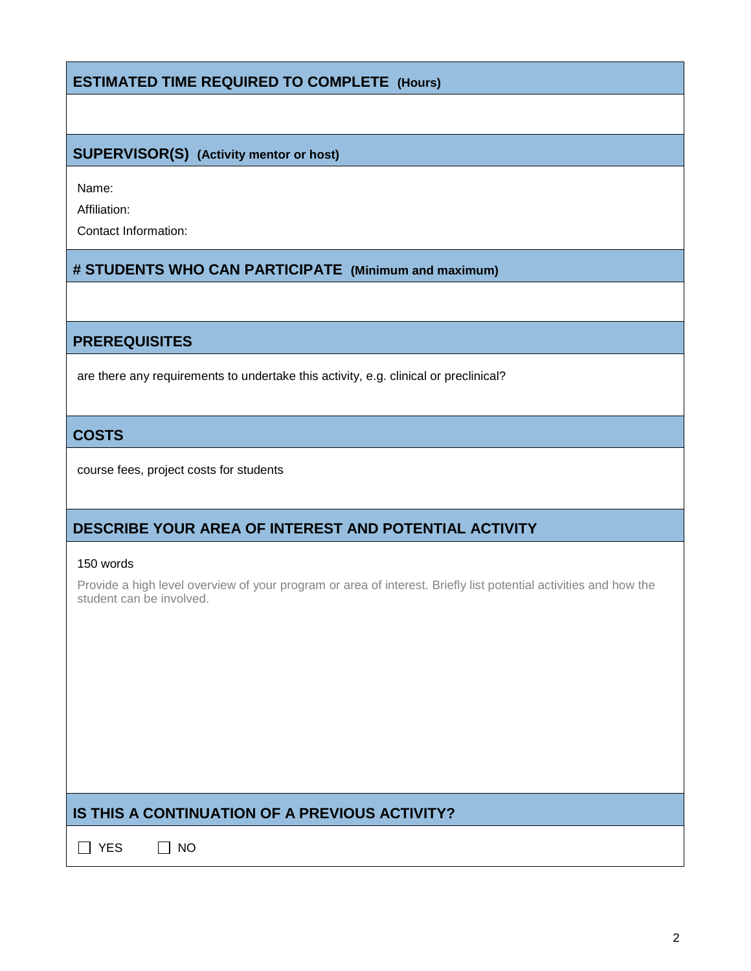## **ESTIMATED TIME REQUIRED TO COMPLETE (Hours)**

#### **SUPERVISOR(S) (Activity mentor or host)**

Name:

Affiliation:

Contact Information:

#### **# STUDENTS WHO CAN PARTICIPATE (Minimum and maximum)**

#### **PREREQUISITES**

are there any requirements to undertake this activity, e.g. clinical or preclinical?

#### **COSTS**

course fees, project costs for students

## **DESCRIBE YOUR AREA OF INTEREST AND POTENTIAL ACTIVITY**

#### 150 words

Provide a high level overview of your program or area of interest. Briefly list potential activities and how the student can be involved.

## **IS THIS A CONTINUATION OF A PREVIOUS ACTIVITY?**

 $\Box$  YES  $\Box$  NO